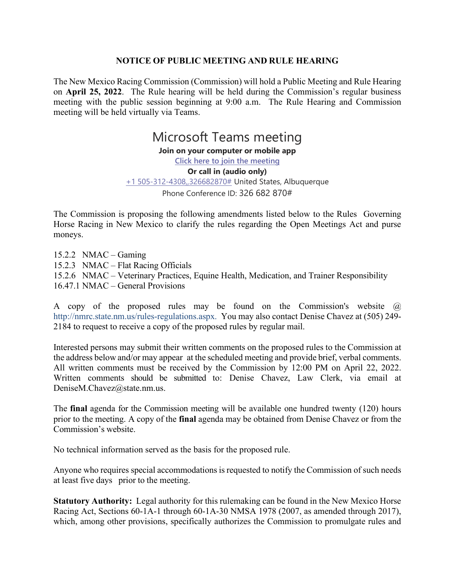## **NOTICE OF PUBLIC MEETING AND RULE HEARING**

The New Mexico Racing Commission (Commission) will hold a Public Meeting and Rule Hearing on **April 25, 2022**. The Rule hearing will be held during the Commission's regular business meeting with the public session beginning at 9:00 a.m. The Rule Hearing and Commission meeting will be held virtually via Teams.

> Microsoft Teams meeting **Join on your computer or mobile app [Click here to join the meeting](https://teams.microsoft.com/l/meetup-join/19%3ameeting_MjYzYTk3NTctNzNhYy00ZDZlLTkyMGItYmE0NDgxNTIyZjUx%40thread.v2/0?context=%7b%22Tid%22%3a%2204aa6bf4-d436-426f-bfa4-04b7a70e60ff%22%2c%22Oid%22%3a%22f408c805-7305-4780-aa72-54ba16deddf3%22%7d) Or call in (audio only)** [+1 505-312-4308,,326682870#](tel:+15053124308,,326682870#%20) United States, Albuquerque Phone Conference ID: 326 682 870#

The Commission is proposing the following amendments listed below to the Rules Governing Horse Racing in New Mexico to clarify the rules regarding the Open Meetings Act and purse moneys.

15.2.2 NMAC – Gaming 15.2.3 NMAC – Flat Racing Officials 15.2.6 NMAC – Veterinary Practices, Equine Health, Medication, and Trainer Responsibility 16.47.1 NMAC – General Provisions

A copy of the proposed rules may be found on the Commission's website @ [http://nmrc.state.nm.us/rules-regulations.aspx.](http://nmrc.state.nm.us/rules-regulations.aspx) You may also contact Denise Chavez at (505) 249- 2184 to request to receive a copy of the proposed rules by regular mail.

Interested persons may submit their written comments on the proposed rules to the Commission at the address below and/or may appear at the scheduled meeting and provide brief, verbal comments. All written comments must be received by the Commission by 12:00 PM on April 22, 2022. Written comments should be submitted to: Denise Chavez, Law Clerk, via email at DeniseM.Chavez@state.nm.us.

The **final** agenda for the Commission meeting will be available one hundred twenty (120) hours prior to the meeting. A copy of the **final** agenda may be obtained from Denise Chavez or from the Commission's website.

No technical information served as the basis for the proposed rule.

Anyone who requires special accommodations is requested to notify the Commission of such needs at least five days prior to the meeting.

**Statutory Authority:** Legal authority for this rulemaking can be found in the New Mexico Horse Racing Act, Sections 60-1A-1 through 60-1A-30 NMSA 1978 (2007, as amended through 2017), which, among other provisions, specifically authorizes the Commission to promulgate rules and